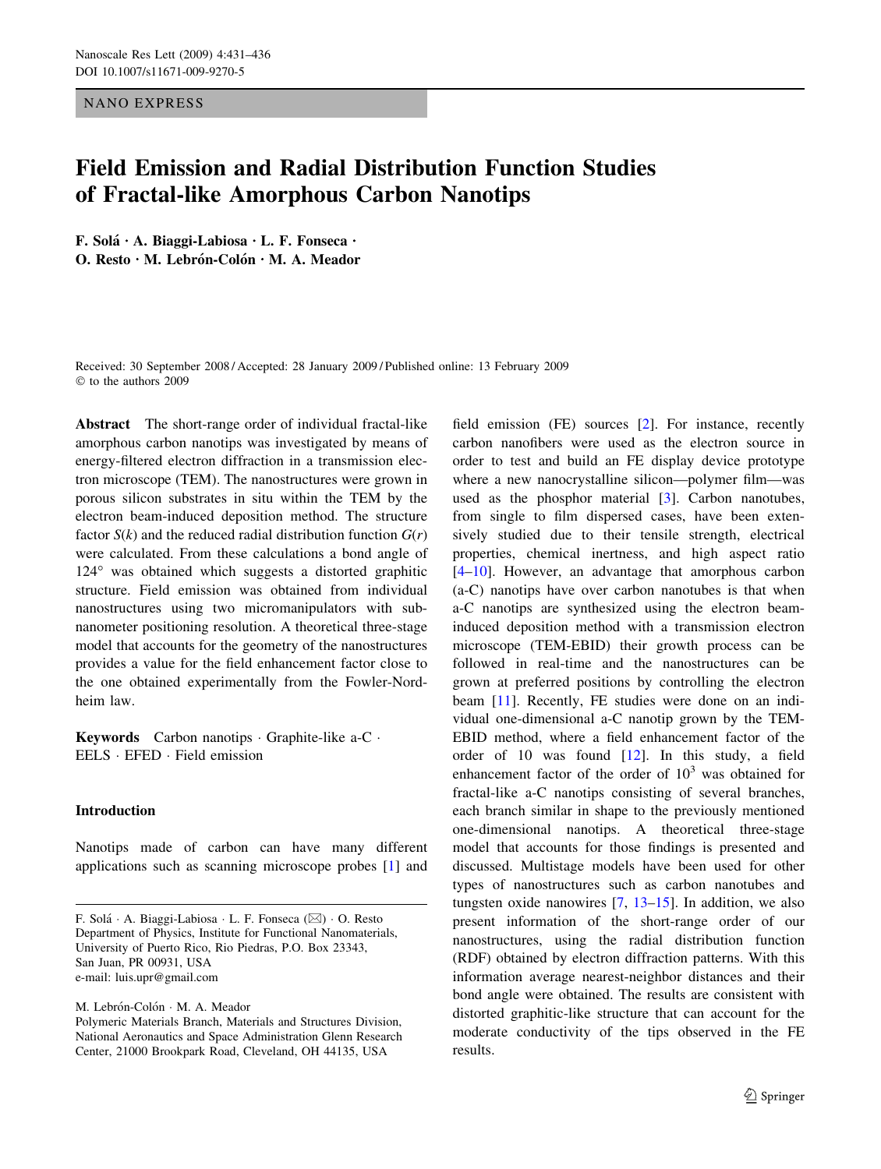NANO EXPRESS

# Field Emission and Radial Distribution Function Studies of Fractal-like Amorphous Carbon Nanotips

F. Solá  $\cdot$  A. Biaggi-Labiosa  $\cdot$  L. F. Fonseca  $\cdot$ O. Resto  $\cdot$  M. Lebrón-Colón  $\cdot$  M. A. Meador

Received: 30 September 2008 / Accepted: 28 January 2009 / Published online: 13 February 2009  $©$  to the authors 2009

Abstract The short-range order of individual fractal-like amorphous carbon nanotips was investigated by means of energy-filtered electron diffraction in a transmission electron microscope (TEM). The nanostructures were grown in porous silicon substrates in situ within the TEM by the electron beam-induced deposition method. The structure factor  $S(k)$  and the reduced radial distribution function  $G(r)$ were calculated. From these calculations a bond angle of 124° was obtained which suggests a distorted graphitic structure. Field emission was obtained from individual nanostructures using two micromanipulators with subnanometer positioning resolution. A theoretical three-stage model that accounts for the geometry of the nanostructures provides a value for the field enhancement factor close to the one obtained experimentally from the Fowler-Nordheim law.

Keywords Carbon nanotips · Graphite-like a-C · EELS · EFED · Field emission

## Introduction

Nanotips made of carbon can have many different applications such as scanning microscope probes [\[1](#page-4-0)] and

M. Lebrón-Colón · M. A. Meador

field emission (FE) sources [\[2](#page-4-0)]. For instance, recently carbon nanofibers were used as the electron source in order to test and build an FE display device prototype where a new nanocrystalline silicon—polymer film—was used as the phosphor material [[3\]](#page-5-0). Carbon nanotubes, from single to film dispersed cases, have been extensively studied due to their tensile strength, electrical properties, chemical inertness, and high aspect ratio [\[4–10](#page-5-0)]. However, an advantage that amorphous carbon (a-C) nanotips have over carbon nanotubes is that when a-C nanotips are synthesized using the electron beaminduced deposition method with a transmission electron microscope (TEM-EBID) their growth process can be followed in real-time and the nanostructures can be grown at preferred positions by controlling the electron beam [[11\]](#page-5-0). Recently, FE studies were done on an individual one-dimensional a-C nanotip grown by the TEM-EBID method, where a field enhancement factor of the order of 10 was found [\[12](#page-5-0)]. In this study, a field enhancement factor of the order of  $10<sup>3</sup>$  was obtained for fractal-like a-C nanotips consisting of several branches, each branch similar in shape to the previously mentioned one-dimensional nanotips. A theoretical three-stage model that accounts for those findings is presented and discussed. Multistage models have been used for other types of nanostructures such as carbon nanotubes and tungsten oxide nanowires [\[7](#page-5-0), [13–15](#page-5-0)]. In addition, we also present information of the short-range order of our nanostructures, using the radial distribution function (RDF) obtained by electron diffraction patterns. With this information average nearest-neighbor distances and their bond angle were obtained. The results are consistent with distorted graphitic-like structure that can account for the moderate conductivity of the tips observed in the FE results.

F. Solá · A. Biaggi-Labiosa · L. F. Fonseca (⊠) · O. Resto Department of Physics, Institute for Functional Nanomaterials, University of Puerto Rico, Rio Piedras, P.O. Box 23343, San Juan, PR 00931, USA e-mail: luis.upr@gmail.com

Polymeric Materials Branch, Materials and Structures Division, National Aeronautics and Space Administration Glenn Research Center, 21000 Brookpark Road, Cleveland, OH 44135, USA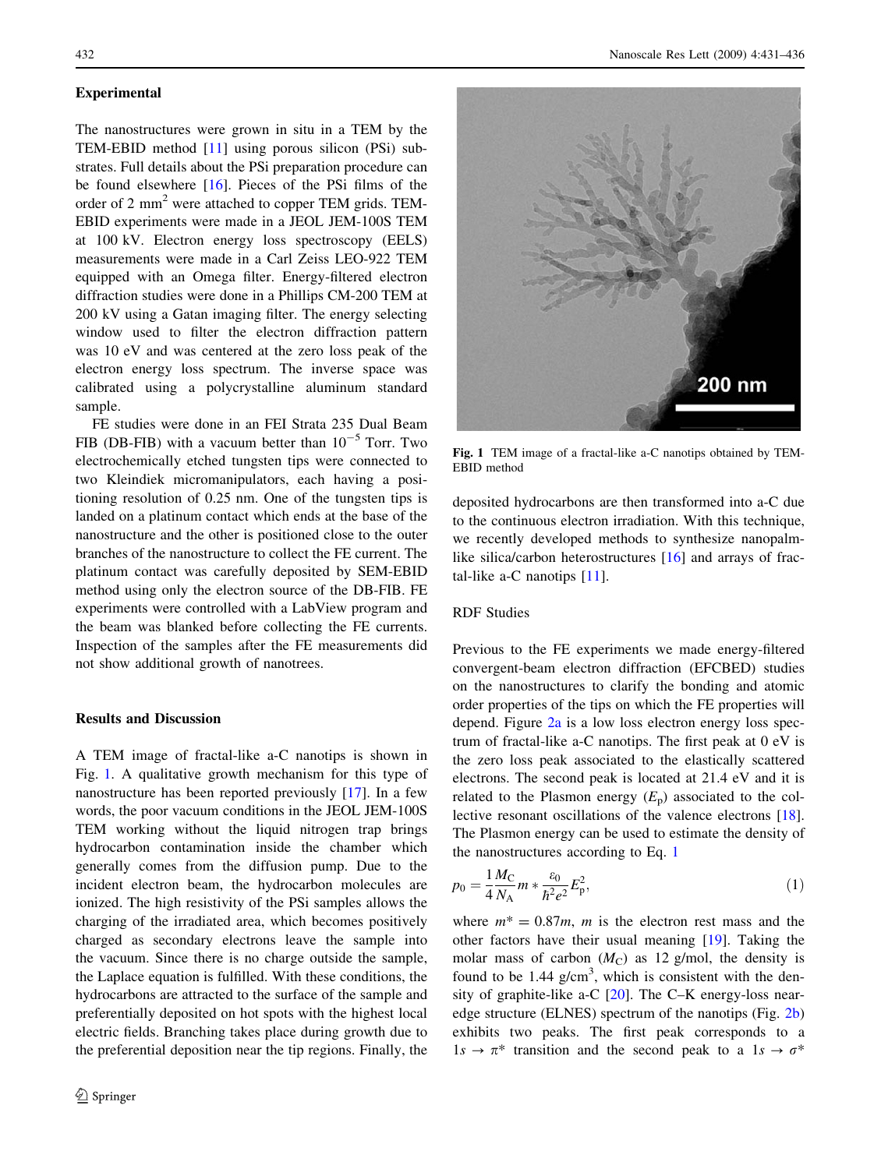#### **Experimental**

The nanostructures were grown in situ in a TEM by the TEM-EBID method [[11\]](#page-5-0) using porous silicon (PSi) substrates. Full details about the PSi preparation procedure can be found elsewhere [[16\]](#page-5-0). Pieces of the PSi films of the order of 2 mm<sup>2</sup> were attached to copper TEM grids. TEM-EBID experiments were made in a JEOL JEM-100S TEM at 100 kV. Electron energy loss spectroscopy (EELS) measurements were made in a Carl Zeiss LEO-922 TEM equipped with an Omega filter. Energy-filtered electron diffraction studies were done in a Phillips CM-200 TEM at 200 kV using a Gatan imaging filter. The energy selecting window used to filter the electron diffraction pattern was 10 eV and was centered at the zero loss peak of the electron energy loss spectrum. The inverse space was calibrated using a polycrystalline aluminum standard sample.

FE studies were done in an FEI Strata 235 Dual Beam FIB (DB-FIB) with a vacuum better than  $10^{-5}$  Torr. Two electrochemically etched tungsten tips were connected to two Kleindiek micromanipulators, each having a positioning resolution of 0.25 nm. One of the tungsten tips is landed on a platinum contact which ends at the base of the nanostructure and the other is positioned close to the outer branches of the nanostructure to collect the FE current. The platinum contact was carefully deposited by SEM-EBID method using only the electron source of the DB-FIB. FE experiments were controlled with a LabView program and the beam was blanked before collecting the FE currents. Inspection of the samples after the FE measurements did not show additional growth of nanotrees.

# Results and Discussion

A TEM image of fractal-like a-C nanotips is shown in Fig. 1. A qualitative growth mechanism for this type of nanostructure has been reported previously [[17\]](#page-5-0). In a few words, the poor vacuum conditions in the JEOL JEM-100S TEM working without the liquid nitrogen trap brings hydrocarbon contamination inside the chamber which generally comes from the diffusion pump. Due to the incident electron beam, the hydrocarbon molecules are ionized. The high resistivity of the PSi samples allows the charging of the irradiated area, which becomes positively charged as secondary electrons leave the sample into the vacuum. Since there is no charge outside the sample, the Laplace equation is fulfilled. With these conditions, the hydrocarbons are attracted to the surface of the sample and preferentially deposited on hot spots with the highest local electric fields. Branching takes place during growth due to the preferential deposition near the tip regions. Finally, the



Fig. 1 TEM image of a fractal-like a-C nanotips obtained by TEM-EBID method

deposited hydrocarbons are then transformed into a-C due to the continuous electron irradiation. With this technique, we recently developed methods to synthesize nanopalmlike silica/carbon heterostructures  $[16]$  $[16]$  and arrays of fractal-like a-C nanotips [\[11](#page-5-0)].

## RDF Studies

Previous to the FE experiments we made energy-filtered convergent-beam electron diffraction (EFCBED) studies on the nanostructures to clarify the bonding and atomic order properties of the tips on which the FE properties will depend. Figure [2a](#page-2-0) is a low loss electron energy loss spectrum of fractal-like a-C nanotips. The first peak at 0 eV is the zero loss peak associated to the elastically scattered electrons. The second peak is located at 21.4 eV and it is related to the Plasmon energy  $(E_p)$  associated to the collective resonant oscillations of the valence electrons [\[18](#page-5-0)]. The Plasmon energy can be used to estimate the density of the nanostructures according to Eq. 1

$$
p_0 = \frac{1}{4} \frac{M_C}{N_A} m * \frac{\varepsilon_0}{\hbar^2 e^2} E_p^2,\tag{1}
$$

where  $m^* = 0.87m$ , *m* is the electron rest mass and the other factors have their usual meaning [\[19](#page-5-0)]. Taking the molar mass of carbon  $(M_C)$  as 12 g/mol, the density is found to be 1.44  $g/cm<sup>3</sup>$ , which is consistent with the density of graphite-like a-C [[20\]](#page-5-0). The C–K energy-loss nearedge structure (ELNES) spectrum of the nanotips (Fig. [2b\)](#page-2-0) exhibits two peaks. The first peak corresponds to a  $1s \rightarrow \pi^*$  transition and the second peak to a  $1s \rightarrow \sigma^*$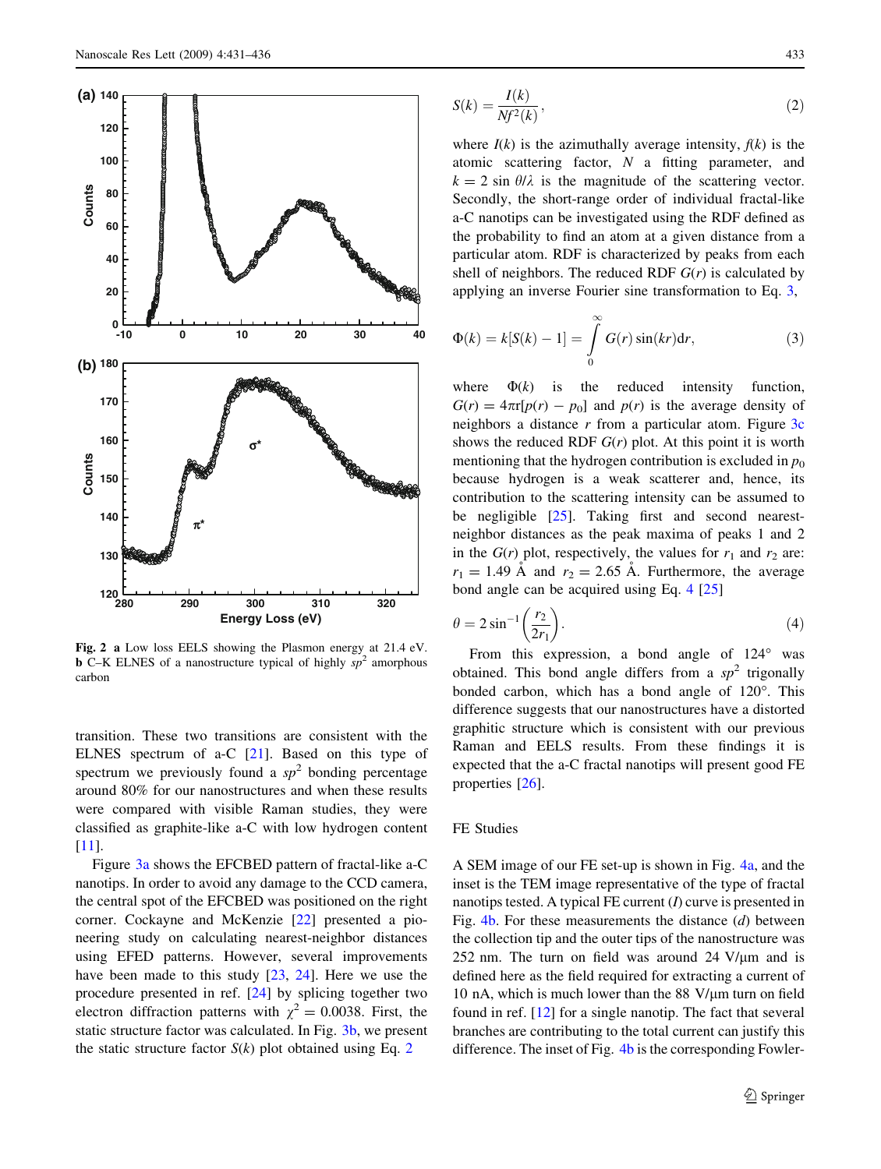<span id="page-2-0"></span>

Fig. 2 a Low loss EELS showing the Plasmon energy at 21.4 eV. **b** C–K ELNES of a nanostructure typical of highly  $sp^2$  amorphous carbon

transition. These two transitions are consistent with the ELNES spectrum of a-C [[21\]](#page-5-0). Based on this type of spectrum we previously found a  $sp^2$  bonding percentage around 80% for our nanostructures and when these results were compared with visible Raman studies, they were classified as graphite-like a-C with low hydrogen content [\[11](#page-5-0)].

Figure [3a](#page-3-0) shows the EFCBED pattern of fractal-like a-C nanotips. In order to avoid any damage to the CCD camera, the central spot of the EFCBED was positioned on the right corner. Cockayne and McKenzie [\[22](#page-5-0)] presented a pioneering study on calculating nearest-neighbor distances using EFED patterns. However, several improvements have been made to this study [\[23](#page-5-0), [24\]](#page-5-0). Here we use the procedure presented in ref. [\[24](#page-5-0)] by splicing together two electron diffraction patterns with  $\chi^2 = 0.0038$ . First, the static structure factor was calculated. In Fig. [3b](#page-3-0), we present the static structure factor  $S(k)$  plot obtained using Eq. 2

$$
S(k) = \frac{I(k)}{Nf^2(k)},\tag{2}
$$

where  $I(k)$  is the azimuthally average intensity,  $f(k)$  is the atomic scattering factor, N a fitting parameter, and  $k = 2 \sin \theta/\lambda$  is the magnitude of the scattering vector. Secondly, the short-range order of individual fractal-like a-C nanotips can be investigated using the RDF defined as the probability to find an atom at a given distance from a particular atom. RDF is characterized by peaks from each shell of neighbors. The reduced RDF  $G(r)$  is calculated by applying an inverse Fourier sine transformation to Eq. 3,

$$
\Phi(k) = k[S(k) - 1] = \int_{0}^{\infty} G(r) \sin(kr) dr,
$$
\n(3)

where  $\Phi(k)$  is the reduced intensity function,  $G(r) = 4\pi r[p(r) - p_0]$  and  $p(r)$  is the average density of neighbors a distance  $r$  from a particular atom. Figure  $3c$ shows the reduced RDF  $G(r)$  plot. At this point it is worth mentioning that the hydrogen contribution is excluded in  $p_0$ because hydrogen is a weak scatterer and, hence, its contribution to the scattering intensity can be assumed to be negligible [[25\]](#page-5-0). Taking first and second nearestneighbor distances as the peak maxima of peaks 1 and 2 in the  $G(r)$  plot, respectively, the values for  $r_1$  and  $r_2$  are:  $r_1 = 1.49$  Å and  $r_2 = 2.65$  Å. Furthermore, the average bond angle can be acquired using Eq. 4 [[25\]](#page-5-0)

$$
\theta = 2\sin^{-1}\left(\frac{r_2}{2r_1}\right). \tag{4}
$$

From this expression, a bond angle of  $124^\circ$  was obtained. This bond angle differs from a  $sp^2$  trigonally bonded carbon, which has a bond angle of 120°. This difference suggests that our nanostructures have a distorted graphitic structure which is consistent with our previous Raman and EELS results. From these findings it is expected that the a-C fractal nanotips will present good FE properties [[26\]](#page-5-0).

## FE Studies

A SEM image of our FE set-up is shown in Fig. [4a](#page-4-0), and the inset is the TEM image representative of the type of fractal nanotips tested. A typical FE current  $(I)$  curve is presented in Fig.  $4b$ . For these measurements the distance (d) between the collection tip and the outer tips of the nanostructure was 252 nm. The turn on field was around 24  $V/\mu$ m and is defined here as the field required for extracting a current of 10 nA, which is much lower than the 88  $V/\mu$ m turn on field found in ref. [\[12](#page-5-0)] for a single nanotip. The fact that several branches are contributing to the total current can justify this difference. The inset of Fig. [4b](#page-4-0) is the corresponding Fowler-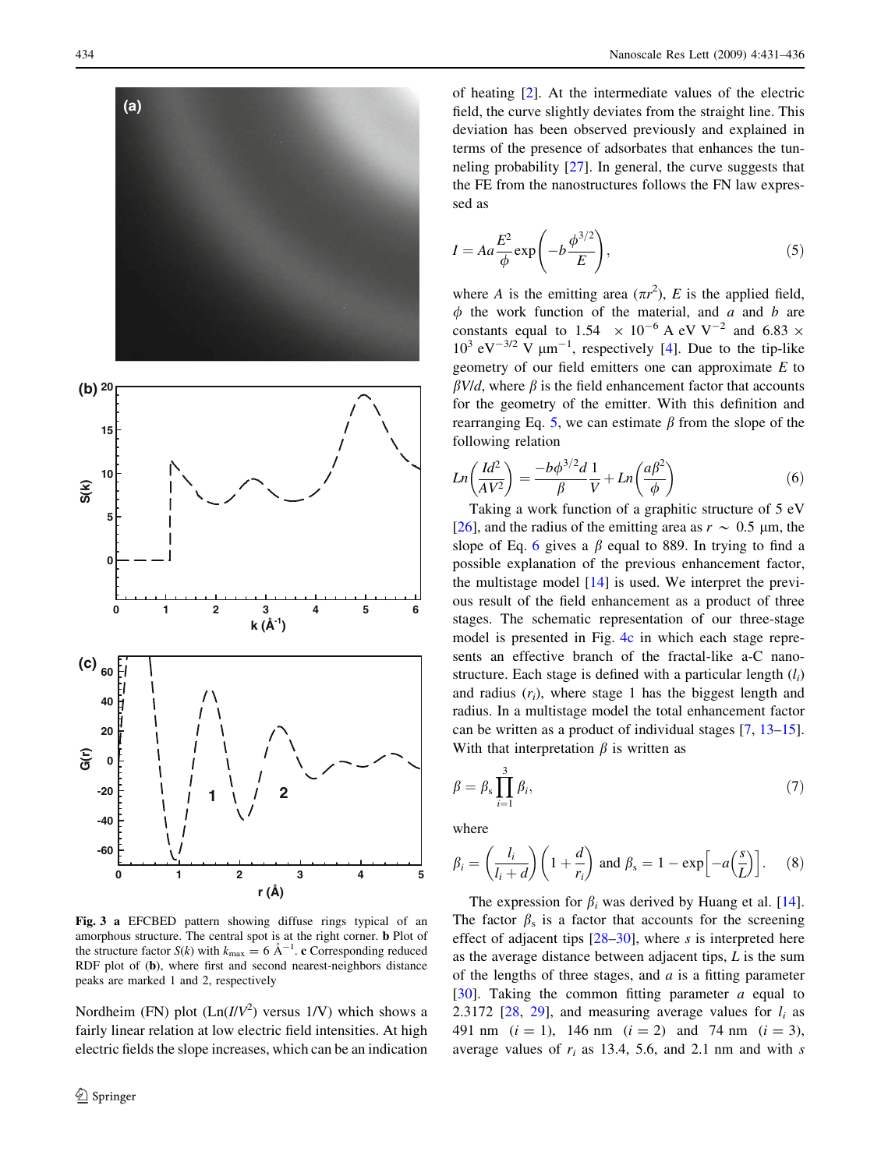<span id="page-3-0"></span>

Fig. 3 a EFCBED pattern showing diffuse rings typical of an amorphous structure. The central spot is at the right corner. b Plot of the structure factor  $S(k)$  with  $k_{\text{max}} = 6 \text{ Å}^{-1}$ . c Corresponding reduced RDF plot of (b), where first and second nearest-neighbors distance peaks are marked 1 and 2, respectively

Nordheim (FN) plot  $(Ln(I/V^2)$  versus  $1/V$ ) which shows a fairly linear relation at low electric field intensities. At high electric fields the slope increases, which can be an indication of heating [[2\]](#page-4-0). At the intermediate values of the electric field, the curve slightly deviates from the straight line. This deviation has been observed previously and explained in terms of the presence of adsorbates that enhances the tunneling probability [\[27](#page-5-0)]. In general, the curve suggests that the FE from the nanostructures follows the FN law expressed as

$$
I = Aa \frac{E^2}{\phi} \exp\left(-b \frac{\phi^{3/2}}{E}\right),\tag{5}
$$

where A is the emitting area  $(\pi r^2)$ , E is the applied field,  $\phi$  the work function of the material, and a and b are constants equal to 1.54  $\times$  10<sup>-6</sup> A eV V<sup>-2</sup> and 6.83  $\times$  $10^3$  eV<sup>-3/2</sup> V  $\mu$ m<sup>-1</sup>, respectively [\[4](#page-5-0)]. Due to the tip-like geometry of our field emitters one can approximate  $E$  to  $\beta$ V/d, where  $\beta$  is the field enhancement factor that accounts for the geometry of the emitter. With this definition and rearranging Eq. 5, we can estimate  $\beta$  from the slope of the following relation

$$
Ln\left(\frac{Id^2}{AV^2}\right) = \frac{-b\phi^{3/2}d}{\beta}\frac{1}{V} + Ln\left(\frac{a\beta^2}{\phi}\right)
$$
(6)

Taking a work function of a graphitic structure of 5 eV [\[26](#page-5-0)], and the radius of the emitting area as  $r \sim 0.5$  µm, the slope of Eq. 6 gives a  $\beta$  equal to 889. In trying to find a possible explanation of the previous enhancement factor, the multistage model [[14\]](#page-5-0) is used. We interpret the previous result of the field enhancement as a product of three stages. The schematic representation of our three-stage model is presented in Fig. [4c](#page-4-0) in which each stage represents an effective branch of the fractal-like a-C nanostructure. Each stage is defined with a particular length  $(l_i)$ and radius  $(r_i)$ , where stage 1 has the biggest length and radius. In a multistage model the total enhancement factor can be written as a product of individual stages [\[7](#page-5-0), [13–15](#page-5-0)]. With that interpretation  $\beta$  is written as

$$
\beta = \beta_{\rm s} \prod_{i=1}^{3} \beta_i,\tag{7}
$$

where

$$
\beta_i = \left(\frac{l_i}{l_i + d}\right) \left(1 + \frac{d}{r_i}\right) \text{ and } \beta_s = 1 - \exp\left[-a\left(\frac{s}{L}\right)\right]. \tag{8}
$$

The expression for  $\beta_i$  was derived by Huang et al. [\[14](#page-5-0)]. The factor  $\beta_s$  is a factor that accounts for the screening effect of adjacent tips  $[28-30]$ , where s is interpreted here as the average distance between adjacent tips,  $L$  is the sum of the lengths of three stages, and  $a$  is a fitting parameter [\[30](#page-5-0)]. Taking the common fitting parameter  $a$  equal to 2.3172 [[28](#page-5-0), [29\]](#page-5-0), and measuring average values for  $l_i$  as 491 nm  $(i = 1)$ , 146 nm  $(i = 2)$  and 74 nm  $(i = 3)$ , average values of  $r_i$  as 13.4, 5.6, and 2.1 nm and with s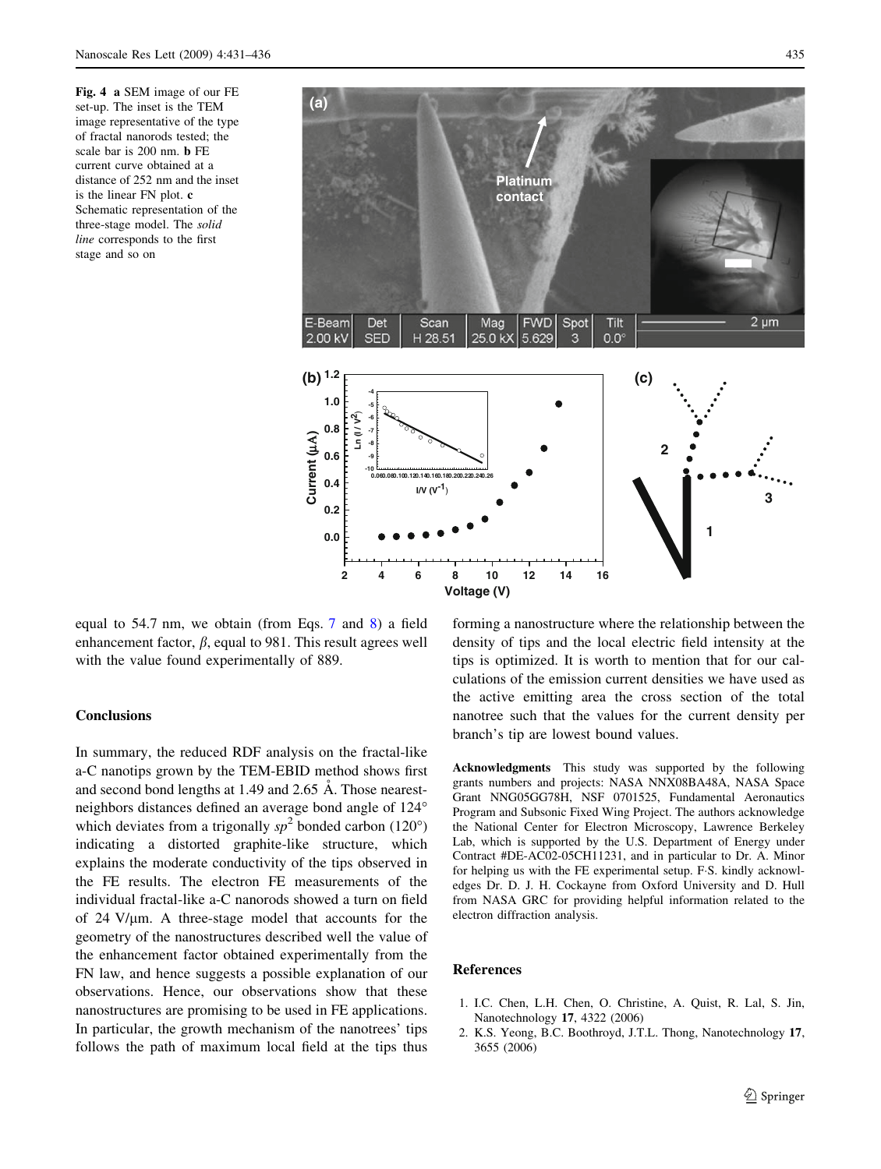<span id="page-4-0"></span>Fig. 4 a SEM image of our FE set-up. The inset is the TEM image representative of the type of fractal nanorods tested; the scale bar is 200 nm. b FE current curve obtained at a distance of 252 nm and the inset is the linear FN plot. c Schematic representation of the three-stage model. The solid line corresponds to the first stage and so on

![](_page_4_Figure_3.jpeg)

equal to 54.7 nm, we obtain (from Eqs. [7](#page-3-0) and [8](#page-3-0)) a field enhancement factor,  $\beta$ , equal to 981. This result agrees well with the value found experimentally of 889.

### **Conclusions**

In summary, the reduced RDF analysis on the fractal-like a-C nanotips grown by the TEM-EBID method shows first and second bond lengths at  $1.49$  and  $2.65$  Å. Those nearestneighbors distances defined an average bond angle of 124° which deviates from a trigonally  $sp^2$  bonded carbon (120°) indicating a distorted graphite-like structure, which explains the moderate conductivity of the tips observed in the FE results. The electron FE measurements of the individual fractal-like a-C nanorods showed a turn on field of  $24$  V/ $\mu$ m. A three-stage model that accounts for the geometry of the nanostructures described well the value of the enhancement factor obtained experimentally from the FN law, and hence suggests a possible explanation of our observations. Hence, our observations show that these nanostructures are promising to be used in FE applications. In particular, the growth mechanism of the nanotrees' tips follows the path of maximum local field at the tips thus

forming a nanostructure where the relationship between the density of tips and the local electric field intensity at the tips is optimized. It is worth to mention that for our calculations of the emission current densities we have used as the active emitting area the cross section of the total nanotree such that the values for the current density per branch's tip are lowest bound values.

Acknowledgments This study was supported by the following grants numbers and projects: NASA NNX08BA48A, NASA Space Grant NNG05GG78H, NSF 0701525, Fundamental Aeronautics Program and Subsonic Fixed Wing Project. The authors acknowledge the National Center for Electron Microscopy, Lawrence Berkeley Lab, which is supported by the U.S. Department of Energy under Contract #DE-AC02-05CH11231, and in particular to Dr. A. Minor for helping us with the FE experimental setup. F.S. kindly acknowledges Dr. D. J. H. Cockayne from Oxford University and D. Hull from NASA GRC for providing helpful information related to the electron diffraction analysis.

#### References

- 1. I.C. Chen, L.H. Chen, O. Christine, A. Quist, R. Lal, S. Jin, Nanotechnology 17, 4322 (2006)
- 2. K.S. Yeong, B.C. Boothroyd, J.T.L. Thong, Nanotechnology 17, 3655 (2006)